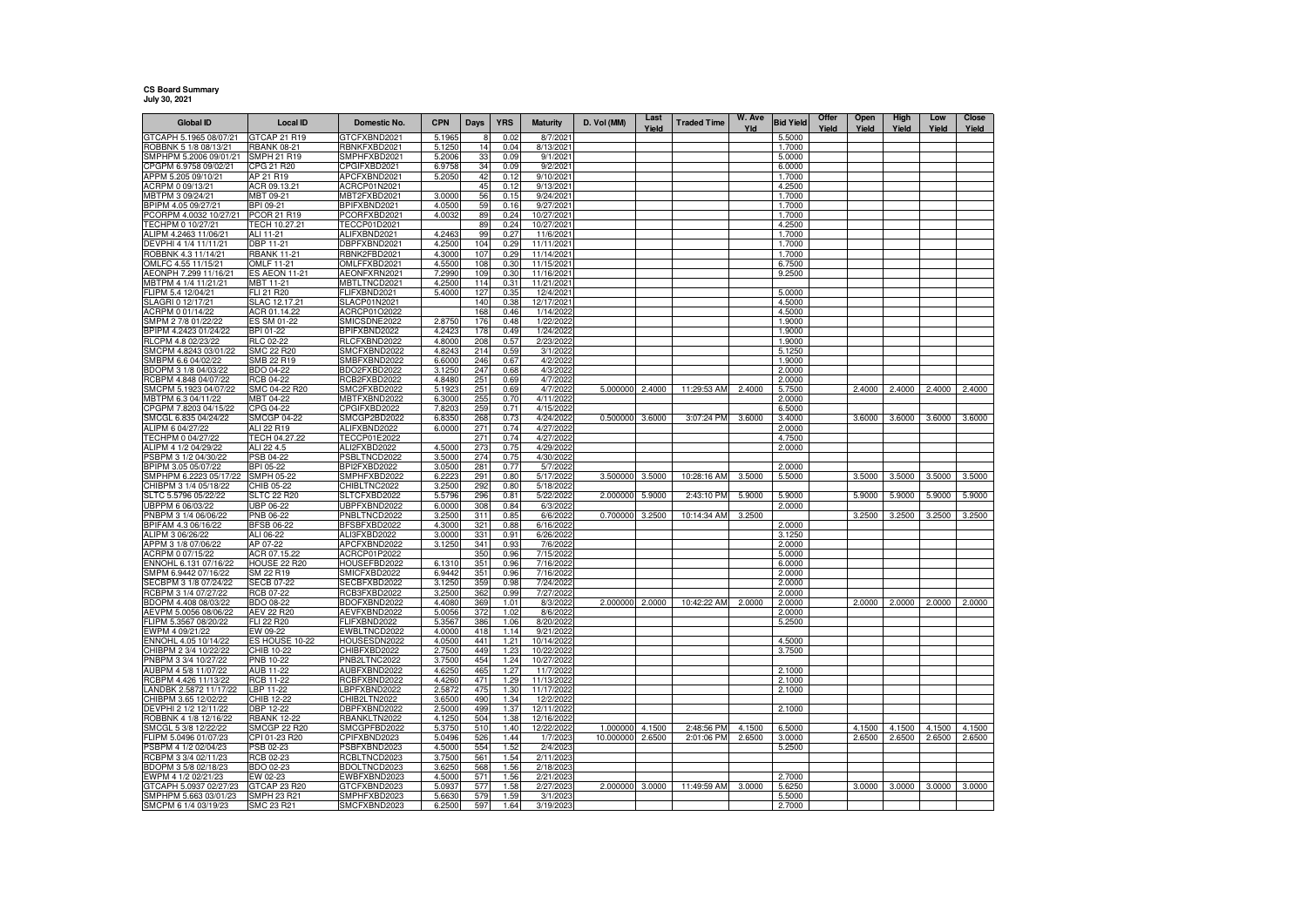## **CS Board Summary July 30, 2021**

| <b>Global ID</b>                               | <b>Local ID</b>                    | Domestic No.                        | <b>CPN</b>       | Days       | <b>YRS</b>   | <b>Maturity</b>          | D. Vol (MM)     | Last<br>Yield | <b>Traded Time</b> | W. Ave<br>Yld | <b>Bid Yield</b> | Offer<br>Yield | Open<br>Yield | High<br>Yield | Low<br>Yield | Close<br>Yield |
|------------------------------------------------|------------------------------------|-------------------------------------|------------------|------------|--------------|--------------------------|-----------------|---------------|--------------------|---------------|------------------|----------------|---------------|---------------|--------------|----------------|
| GTCAPH 5.1965 08/07/21                         | GTCAP 21 R19                       | GTCFXBND2021                        | 5.1965           |            | 0.02         | 8/7/202                  |                 |               |                    |               | 5.5000           |                |               |               |              |                |
| ROBBNK 5 1/8 08/13/21                          | <b>RBANK 08-21</b>                 | RBNKFXBD2021                        | 5.1250           | 14         | 0.04         | 8/13/2021                |                 |               |                    |               | 1.7000           |                |               |               |              |                |
| SMPHPM 5.2006 09/01/21                         | SMPH 21 R19                        | SMPHFXBD2021                        | 5.2006           | 33         | 0.09         | 9/1/2021                 |                 |               |                    |               | 5.0000           |                |               |               |              |                |
| CPGPM 6.9758 09/02/21                          | CPG 21 R20                         | CPGIFXBD2021                        | 6.9758           | 34         | 0.09         | 9/2/2021                 |                 |               |                    |               | 6.0000           |                |               |               |              |                |
| APPM 5.205 09/10/21                            | AP 21 R19                          | APCFXBND2021                        | 5.2050           | 42         | 0.12         | 9/10/2021                |                 |               |                    |               | 1.7000           |                |               |               |              |                |
| ACRPM 0 09/13/21<br>MBTPM 3 09/24/21           | ACR 09.13.21<br>MBT 09-21          | ACRCP01N2021<br>MBT2FXBD202         | 3.0000           | 45<br>56   | 0.12<br>0.15 | 9/13/202<br>9/24/202     |                 |               |                    |               | 4.2500<br>1.7000 |                |               |               |              |                |
| BPIPM 4.05 09/27/21                            | BPI 09-21                          | BPIFXBND2021                        | 4.0500           | 59         | 0.16         | 9/27/202                 |                 |               |                    |               | 1.7000           |                |               |               |              |                |
| PCORPM 4.0032 10/27/21                         | PCOR 21 R19                        | PCORFXBD2021                        | 4.0032           | 89         | 0.24         | 10/27/2021               |                 |               |                    |               | 1.7000           |                |               |               |              |                |
| TECHPM 0 10/27/21                              | TECH 10.27.21                      | TECCP01D2021                        |                  | 89         | 0.24         | 10/27/2021               |                 |               |                    |               | 4.2500           |                |               |               |              |                |
| ALIPM 4.2463 11/06/21                          | ALI 11-21                          | ALIFXBND2021                        | 4.2463           | 99         | 0.27         | 11/6/2021                |                 |               |                    |               | 1.7000           |                |               |               |              |                |
| DEVPHI 4 1/4 11/11/21                          | DBP 11-21                          | DBPFXBND2021                        | 4.2500           | 104        | 0.29         | 11/11/2021               |                 |               |                    |               | 1.7000           |                |               |               |              |                |
| ROBBNK 4.3 11/14/21                            | <b>RBANK 11-21</b>                 | RBNK2FBD2021                        | 4.3000           | 107        | 0.29         | 11/14/2021               |                 |               |                    |               | 1.7000           |                |               |               |              |                |
| OMLFC 4.55 11/15/21<br>AEONPH 7.299 11/16/21   | OMLF 11-21<br><b>ES AEON 11-21</b> | OMLFFXBD2021<br>AEONFXRN2021        | 4.5500<br>7.2990 | 108<br>109 | 0.30<br>0.30 | 11/15/2021<br>11/16/2021 |                 |               |                    |               | 6.7500<br>9.2500 |                |               |               |              |                |
| MBTPM 4 1/4 11/21/21                           | MBT 11-21                          | MBTLTNCD2021                        | 4.2500           | 114        | 0.31         | 11/21/2021               |                 |               |                    |               |                  |                |               |               |              |                |
| FLIPM 5.4 12/04/21                             | FLI 21 R20                         | FLIFXBND2021                        | 5.4000           | 127        | 0.35         | 12/4/2021                |                 |               |                    |               | 5.0000           |                |               |               |              |                |
| SLAGRI 0 12/17/21                              | SLAC 12.17.21                      | SLACP01N2021                        |                  | 140        | 0.38         | 12/17/2021               |                 |               |                    |               | 4.5000           |                |               |               |              |                |
| ACRPM 0 01/14/22                               | ACR 01.14.22                       | ACRCP01O2022                        |                  | 168        | 0.46         | 1/14/2022                |                 |               |                    |               | 4.5000           |                |               |               |              |                |
| SMPM 2 7/8 01/22/22                            | ES SM 01-22                        | SMICSDNE2022                        | 2.8750           | 176        | 0.48         | 1/22/2022                |                 |               |                    |               | 1.9000           |                |               |               |              |                |
| BPIPM 4.2423 01/24/22                          | BPI 01-22                          | BPIFXBND2022                        | 4.242            | 178        | 0.49         | 1/24/2022                |                 |               |                    |               | 1.9000           |                |               |               |              |                |
| RLCPM 4.8 02/23/22                             | RLC 02-22                          | RLCFXBND2022                        | 4.8000           | 208        | 0.57         | 2/23/2022                |                 |               |                    |               | 1.9000           |                |               |               |              |                |
| SMCPM 4.8243 03/01/22<br>SMBPM 6.6 04/02/22    | <b>SMC 22 R20</b><br>SMB 22 R19    | SMCFXBND2022<br>SMBFXBND2022        | 4.8243<br>6.6000 | 214<br>246 | 0.59<br>0.67 | 3/1/2022<br>4/2/2022     |                 |               |                    |               | 5.1250<br>1.9000 |                |               |               |              |                |
| BDOPM 3 1/8 04/03/22                           | BDO 04-22                          | BDO2FXBD2022                        | 3.1250           | 247        | 0.68         | 4/3/2022                 |                 |               |                    |               | 2.0000           |                |               |               |              |                |
| RCBPM 4.848 04/07/22                           | RCB 04-22                          | RCB2FXBD2022                        | 4.8480           | 251        | 0.69         | 4/7/2022                 |                 |               |                    |               | 2.0000           |                |               |               |              |                |
| SMCPM 5.1923 04/07/22                          | SMC 04-22 R20                      | SMC2FXBD2022                        | 5.1923           | 251        | 0.69         | 4/7/2022                 | 5.000000        | 2.4000        | 11:29:53 AM        | 2.4000        | 5.7500           |                | 2.4000        | 2.4000        | 2.4000       | 2.4000         |
| MBTPM 6.3 04/11/22                             | MBT 04-22                          | MBTFXBND2022                        | 6.3000           | 255        | 0.70         | 4/11/2022                |                 |               |                    |               | 2.0000           |                |               |               |              |                |
| CPGPM 7.8203 04/15/22                          | CPG 04-22                          | CPGIFXBD2022                        | 7.8203           | 259        | 0.71         | 4/15/2022                |                 |               |                    |               | 6.5000           |                |               |               |              |                |
| SMCGL 6.835 04/24/22                           | SMCGP 04-22                        | SMCGP2BD2022                        | 6.8350           | 268        | 0.73         | 4/24/2022                | 0.500000        | 3.6000        | 3:07:24 PM         | 3.6000        | 3.4000           |                | 3.6000        | 3.6000        | 3.6000       | 3.6000         |
| ALIPM 6 04/27/22                               | ALI 22 R19                         | ALIFXBND2022<br><b>TECCP01E2022</b> | 6.0000           | 271        | 0.74         | 4/27/2022                |                 |               |                    |               | 2.0000           |                |               |               |              |                |
| TECHPM 0 04/27/22<br>ALIPM 4 1/2 04/29/22      | TECH 04.27.22<br>ALI 22 4.5        | ALI2FXBD2022                        | 4.5000           | 271<br>273 | 0.74<br>0.75 | 4/27/2022<br>4/29/2022   |                 |               |                    |               | 4.7500<br>2.0000 |                |               |               |              |                |
| PSBPM 3 1/2 04/30/22                           | PSB 04-22                          | PSBLTNCD2022                        | 3.5000           | 274        | 0.75         | 4/30/2022                |                 |               |                    |               |                  |                |               |               |              |                |
| BPIPM 3.05 05/07/22                            | BPI 05-22                          | BPI2FXBD2022                        | 3.0500           | 281        | 0.77         | 5/7/2022                 |                 |               |                    |               | 2.0000           |                |               |               |              |                |
| SMPHPM 6.2223 05/17/22                         | SMPH 05-22                         | SMPHFXBD2022                        | 6.2223           | 291        | 0.80         | 5/17/2022                | 3.500000        | 3.5000        | 10:28:16 AM        | 3.5000        | 5.5000           |                | 3.5000        | 3.5000        | 3.5000       | 3.5000         |
| CHIBPM 3 1/4 05/18/22                          | CHIB 05-22                         | CHIBLTNC2022                        | 3.2500           | 292        | 0.80         | 5/18/2022                |                 |               |                    |               |                  |                |               |               |              |                |
| SLTC 5.5796 05/22/22                           | SLTC 22 R20                        | SLTCFXBD2022                        | 5.5796           | 296        | 0.81         | 5/22/2022                | 2.000000        | 5.9000        | 2:43:10 PM         | 5.9000        | 5.9000           |                | 5.9000        | 5.9000        | 5.9000       | 5.9000         |
| JBPPM 6 06/03/22                               | JBP 06-22                          | JBPFXBND2022                        | 6.0000           | 308        | 0.84         | 6/3/2022                 |                 |               |                    |               | 2.0000           |                |               |               |              |                |
| PNBPM 3 1/4 06/06/22<br>BPIFAM 4.3 06/16/22    | PNB 06-22<br><b>BFSB 06-22</b>     | PNBLTNCD2022<br>BFSBFXBD2022        | 3.2500<br>4.3000 | 311<br>321 | 0.85<br>0.88 | 6/6/202<br>6/16/2022     | 0.700000        | 3.2500        | 10:14:34 AM        | 3.2500        | 2.0000           |                | 3.2500        | 3.2500        | 3.2500       | 3.2500         |
| ALIPM 3 06/26/22                               | ALI 06-22                          | ALI3FXBD2022                        | 3.0000           | 331        | 0.91         | 6/26/2022                |                 |               |                    |               | 3.1250           |                |               |               |              |                |
| APPM 3 1/8 07/06/22                            | AP 07-22                           | APCFXBND2022                        | 3.1250           | 341        | 0.93         | 7/6/2022                 |                 |               |                    |               | 2.0000           |                |               |               |              |                |
| ACRPM 0 07/15/22                               | ACR 07.15.22                       | ACRCP01P2022                        |                  | 350        | 0.96         | 7/15/2022                |                 |               |                    |               | 5.0000           |                |               |               |              |                |
| ENNOHL 6.131 07/16/22                          | <b>HOUSE 22 R20</b>                | HOUSEFBD2022                        | 6.1310           | 351        | 0.96         | 7/16/2022                |                 |               |                    |               | 6.0000           |                |               |               |              |                |
| SMPM 6.9442 07/16/22                           | SM 22 R19                          | SMICFXBD2022                        | 6.9442           | 351        | 0.96         | 7/16/2022                |                 |               |                    |               | 2.0000           |                |               |               |              |                |
| SECBPM 3 1/8 07/24/22                          | <b>SECB 07-22</b>                  | SECBFXBD2022                        | 3.1250           | 359        | 0.98         | 7/24/2022                |                 |               |                    |               | 2.0000           |                |               |               |              |                |
| RCBPM 3 1/4 07/27/22<br>BDOPM 4.408 08/03/22   | RCB 07-22<br>BDO 08-22             | RCB3FXBD2022                        | 3.2500           | 362        | 0.99<br>1.01 | 7/27/2022<br>8/3/2022    | 2.000000        |               | 10:42:22 AM        | 2.0000        | 2.0000           |                | 2.0000        | 2.0000        | 2.0000       | 2.0000         |
| AEVPM 5.0056 08/06/22                          | AEV 22 R20                         | BDOFXBND2022<br>AEVFXBND2022        | 4.4080<br>5.0056 | 369<br>372 | 1.02         | 8/6/2022                 |                 | 2.0000        |                    |               | 2.0000<br>2.0000 |                |               |               |              |                |
| FLIPM 5.3567 08/20/22                          | FLI 22 R20                         | FLIFXBND2022                        | 5.3567           | 386        | 1.06         | 8/20/2022                |                 |               |                    |               | 5.2500           |                |               |               |              |                |
| EWPM 4 09/21/22                                | EW 09-22                           | EWBLTNCD2022                        | 4.0000           | 418        | 1.14         | 9/21/2022                |                 |               |                    |               |                  |                |               |               |              |                |
| ENNOHL 4.05 10/14/22                           | ES HOUSE 10-22                     | HOUSESDN2022                        | 4.0500           | 441        | 1.21         | 10/14/2022               |                 |               |                    |               | 4.5000           |                |               |               |              |                |
| CHIBPM 2 3/4 10/22/22                          | CHIB 10-22                         | CHIBFXBD2022                        | 2.7500           | 449        | 1.23         | 10/22/2022               |                 |               |                    |               | 3.7500           |                |               |               |              |                |
| PNBPM 3 3/4 10/27/22                           | PNB 10-22                          | PNB2LTNC2022                        | 3.7500           | 454        | 1.24         | 10/27/2022               |                 |               |                    |               |                  |                |               |               |              |                |
| AUBPM 4 5/8 11/07/22                           | AUB 11-22                          | AUBFXBND2022                        | 4.6250           | 465        | 1.27         | 11/7/2022                |                 |               |                    |               | 2.1000           |                |               |               |              |                |
| RCBPM 4.426 11/13/22<br>LANDBK 2.5872 11/17/22 | RCB 11-22<br>LBP 11-22             | RCBFXBND2022<br>LBPFXBND2022        | 4.4260<br>2.587  | 471<br>475 | 1.29<br>1.30 | 11/13/2022<br>11/17/2022 |                 |               |                    |               | 2.1000<br>2.1000 |                |               |               |              |                |
| CHIBPM 3.65 12/02/22                           | CHIB 12-22                         | CHIB2LTN2022                        | 3.6500           | 490        | 1.34         | 12/2/2022                |                 |               |                    |               |                  |                |               |               |              |                |
| DEVPHI 2 1/2 12/11/22                          | DBP 12-22                          | DBPFXBND2022                        | 2.5000           | 499        | 1.37         | 12/11/2022               |                 |               |                    |               | 2.1000           |                |               |               |              |                |
| ROBBNK 4 1/8 12/16/22                          | <b>RBANK 12-22</b>                 | RBANKLTN2022                        | 4.1250           | 504        | 1.38         | 12/16/2022               |                 |               |                    |               |                  |                |               |               |              |                |
| SMCGL 5 3/8 12/22/22                           | SMCGP 22 R20                       | SMCGPFBD2022                        | 5.3750           | 510        | 1.40         | 12/22/2022               | 1.000000        | 4.1500        | 2:48:56 PM         | 4.1500        | 6.5000           |                | 4.1500        | 4.1500        | 4.1500       | 4.1500         |
| LIPM 5.0496 01/07/23                           | CPI 01-23 R20                      | CPIFXBND2023                        | 5.0496           | 526        | 1.44         | 1/7/2023                 | 10.000000       | 2.6500        | 2:01:06 PM         | 2.6500        | 3.0000           |                | 2.6500        | 2.6500        | 2.6500       | 2.6500         |
| PSBPM 4 1/2 02/04/23                           | PSB 02-23                          | PSBFXBND2023                        | 4.5000           | 554        | 1.52         | 2/4/2023                 |                 |               |                    |               | 5.2500           |                |               |               |              |                |
| RCBPM 3 3/4 02/11/23                           | RCB 02-23                          | RCBLTNCD2023                        | 3.7500           | 561        | 1.54         | 2/11/202                 |                 |               |                    |               |                  |                |               |               |              |                |
| BDOPM 3 5/8 02/18/23<br>EWPM 4 1/2 02/21/23    | <b>BDO 02-23</b><br>EW 02-23       | BDOLTNCD2023<br>EWBFXBND2023        | 3.6250<br>4.5000 | 568<br>571 | 1.56<br>1.56 | 2/18/2023<br>2/21/2023   |                 |               |                    |               | 2.7000           |                |               |               |              |                |
| GTCAPH 5.0937 02/27/23                         | GTCAP 23 R20                       | GTCFXBND2023                        | 5.093            | 577        | 1.58         | 2/27/202                 | 2.000000 3.0000 |               | 11:49:59 AM        | 3.0000        | 5.6250           |                | 3.0000        | 3.0000        | 3.0000       | 3.0000         |
| SMPHPM 5.663 03/01/23                          | SMPH 23 R21                        | SMPHFXBD2023                        | 5.6630           | 579        | 1.59         | 3/1/2023                 |                 |               |                    |               | 5.5000           |                |               |               |              |                |
| SMCPM 6 1/4 03/19/23                           | SMC 23 R21                         | SMCFXBND2023                        | 6.2500           | 597        | 1.64         | 3/19/2023                |                 |               |                    |               | 2.7000           |                |               |               |              |                |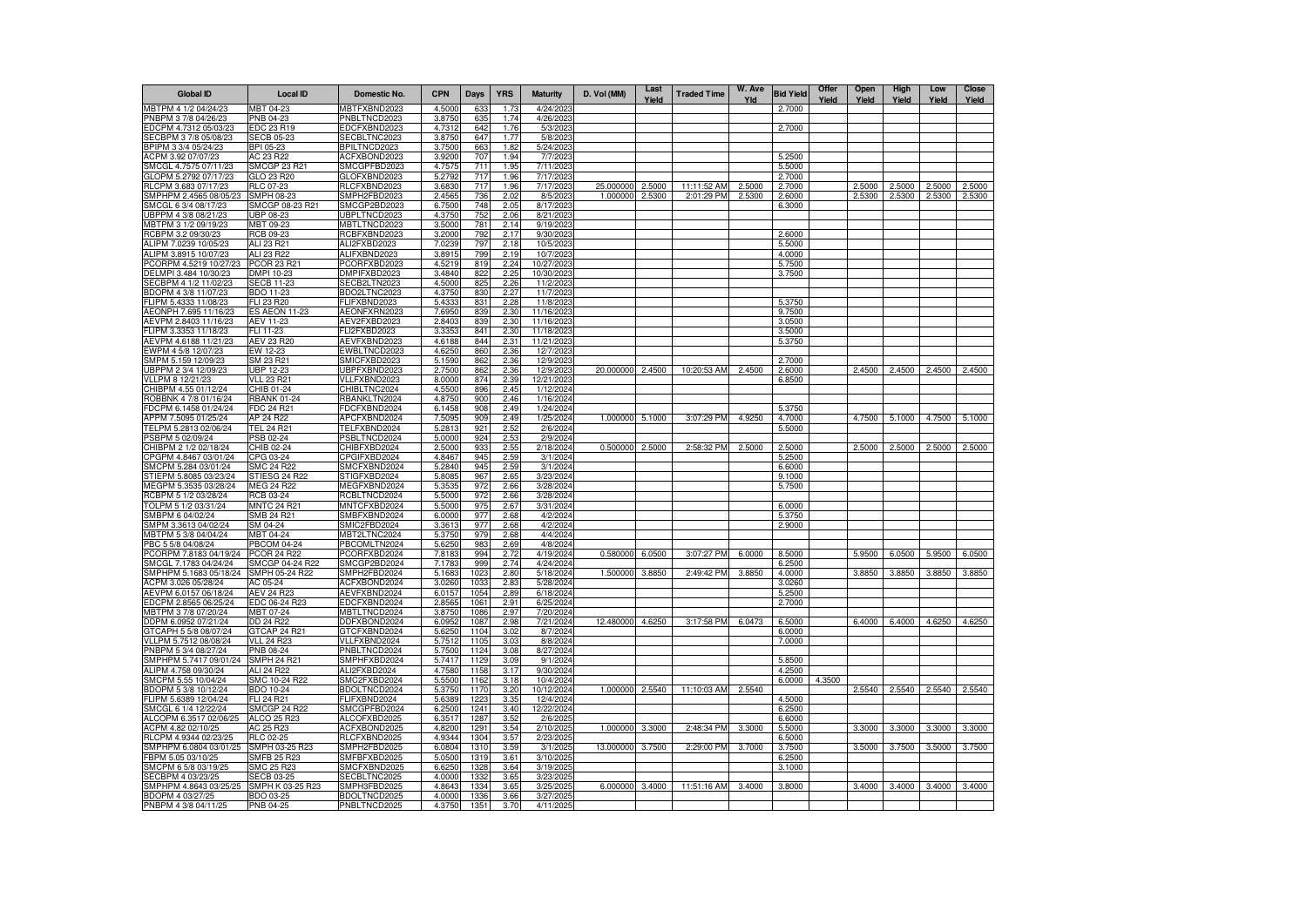| <b>Global ID</b>                               | <b>Local ID</b>                           | Domestic No.                        | <b>CPN</b>       | <b>Days</b>  | <b>YRS</b>   | <b>Maturity</b>         | D. Vol (MM)      | Last<br>Yield | <b>Traded Time</b> | W. Ave<br>Yld | <b>Bid Yield</b> | Offer<br>Yield | Open<br>Yield | High<br>Yield | Low<br>Yield | <b>Close</b><br>Yield |
|------------------------------------------------|-------------------------------------------|-------------------------------------|------------------|--------------|--------------|-------------------------|------------------|---------------|--------------------|---------------|------------------|----------------|---------------|---------------|--------------|-----------------------|
| MBTPM 4 1/2 04/24/23                           | MBT 04-23                                 | MBTFXBND2023                        | 4.5000           | 633          | 1.73         | 4/24/2023               |                  |               |                    |               | 2.7000           |                |               |               |              |                       |
| PNBPM 3 7/8 04/26/23                           | PNB 04-23                                 | PNBLTNCD2023                        | 3.8750           | 635          | 1.74         | 4/26/2023               |                  |               |                    |               |                  |                |               |               |              |                       |
| EDCPM 4.7312 05/03/23                          | EDC 23 R19                                | EDCFXBND2023                        | 4.7312           | 642          | 1.76         | 5/3/2023                |                  |               |                    |               | 2.7000           |                |               |               |              |                       |
| SECBPM 3 7/8 05/08/23<br>BPIPM 3 3/4 05/24/23  | <b>SECB 05-23</b><br>BPI 05-23            | SECBLTNC2023<br>BPILTNCD2023        | 3.8750<br>3.7500 | 647<br>663   | 1.77<br>1.82 | 5/8/2023<br>5/24/2023   |                  |               |                    |               |                  |                |               |               |              |                       |
| ACPM 3.92 07/07/23                             | AC 23 R22                                 | ACFXBOND2023                        | 3.9200           | 707          | 1.94         | 7/7/2023                |                  |               |                    |               | 5.2500           |                |               |               |              |                       |
| SMCGL 4.7575 07/11/23                          | SMCGP 23 R21                              | SMCGPFBD2023                        | 4.7575           | 711          | 1.95         | 7/11/2023               |                  |               |                    |               | 5.5000           |                |               |               |              |                       |
| GLOPM 5.2792 07/17/23                          | GLO 23 R20                                | GLOFXBND2023                        | 5.2792           | 717          | 1.96         | 7/17/2023               |                  |               |                    |               | 2.7000           |                |               |               |              |                       |
| RLCPM 3.683 07/17/23                           | RLC 07-23                                 | RLCFXBND2023                        | 3.6830           | 717          | 1.96         | 7/17/2023               | 25.000000        | 2.5000        | 11:11:52 AM        | 2.5000        | 2.7000           |                | 2.5000        | 2.5000        | 2.5000       | 2.5000                |
| SMPHPM 2.4565 08/05/23                         | SMPH 08-23                                | SMPH2FBD2023                        | 2.4565           | 736          | 2.02         | 8/5/2023                | 1.000000         | 2.5300        | 2:01:29 PM         | 2.5300        | 2.6000           |                | 2.5300        | 2.5300        | 2.5300       | 2.5300                |
| SMCGL 6 3/4 08/17/23                           | SMCGP 08-23 R21                           | SMCGP2BD2023                        | 6.7500           | 748          | 2.05         | 8/17/2023               |                  |               |                    |               | 6.3000           |                |               |               |              |                       |
| JBPPM 4 3/8 08/21/23                           | UBP 08-23                                 | UBPLTNCD2023                        | 4.3750           | 752<br>781   | 2.06         | 8/21/2023               |                  |               |                    |               |                  |                |               |               |              |                       |
| MBTPM 3 1/2 09/19/23<br>RCBPM 3.2 09/30/23     | MBT 09-23<br>RCB 09-23                    | MBTLTNCD2023<br>RCBFXBND2023        | 3.5000<br>3.2000 | 792          | 2.14<br>2.17 | 9/19/2023<br>9/30/2023  |                  |               |                    |               | 2.6000           |                |               |               |              |                       |
| ALIPM 7.0239 10/05/23                          | ALI 23 R21                                | ALI2FXBD2023                        | 7.0239           | 797          | 2.18         | 10/5/2023               |                  |               |                    |               | 5.5000           |                |               |               |              |                       |
| ALIPM 3.8915 10/07/23                          | ALI 23 R22                                | ALIFXBND2023                        | 3.8915           | 799          | 2.19         | 10/7/2023               |                  |               |                    |               | 4.0000           |                |               |               |              |                       |
| PCORPM 4.5219 10/27/23                         | <b>PCOR 23 R21</b>                        | PCORFXBD2023                        | 4.5219           | 819          | 2.24         | 10/27/2023              |                  |               |                    |               | 5.7500           |                |               |               |              |                       |
| DELMPI 3.484 10/30/23                          | DMPI 10-23                                | DMPIFXBD2023                        | 3.4840           | 822          | 2.25         | 10/30/2023              |                  |               |                    |               | 3.7500           |                |               |               |              |                       |
| SECBPM 4 1/2 11/02/23                          | <b>SECB 11-23</b>                         | SECB2LTN2023                        | 4.5000           | 825          | 2.26         | 11/2/2023               |                  |               |                    |               |                  |                |               |               |              |                       |
| BDOPM 4 3/8 11/07/23                           | BDO 11-23                                 | BDO2LTNC2023                        | 4.3750           | 830          | 2.27         | 11/7/2023               |                  |               |                    |               |                  |                |               |               |              |                       |
| FLIPM 5.4333 11/08/23<br>AEONPH 7.695 11/16/23 | <b>FLI 23 R20</b><br><b>ES AEON 11-23</b> | <b>ELIFXBND2023</b><br>AEONFXRN2023 | 5.433<br>7.6950  | 831<br>839   | 2.28<br>2.30 | 11/8/2023<br>11/16/2023 |                  |               |                    |               | 5.3750<br>9.7500 |                |               |               |              |                       |
| AEVPM 2.8403 11/16/23                          | <b>AEV 11-23</b>                          | AEV2FXBD2023                        | 2.8403           | 839          | 2.30         | 11/16/2023              |                  |               |                    |               | 3.0500           |                |               |               |              |                       |
| FLIPM 3.3353 11/18/23                          | FLI 11-23                                 | FLI2FXBD2023                        | 3.335            | 841          | 2.30         | 11/18/2023              |                  |               |                    |               | 3.5000           |                |               |               |              |                       |
| AEVPM 4.6188 11/21/23                          | AEV 23 R20                                | AEVFXBND2023                        | 4.6188           | 844          | 2.31         | 11/21/2023              |                  |               |                    |               | 5.3750           |                |               |               |              |                       |
| EWPM 4 5/8 12/07/23                            | EW 12-23                                  | EWBLTNCD2023                        | 4.6250           | 860          | 2.36         | 12/7/2023               |                  |               |                    |               |                  |                |               |               |              |                       |
| SMPM 5.159 12/09/23                            | SM 23 R21                                 | SMICFXBD2023                        | 5.1590           | 862          | 2.36         | 12/9/2023               |                  |               |                    |               | 2.7000           |                |               |               |              |                       |
| JBPPM 2 3/4 12/09/23                           | JBP 12-23                                 | JBPFXBND2023                        | 2.7500           | 862          | 2.36         | 12/9/2023               | 20.000000        | 2.4500        | 10:20:53 AM        | 2.4500        | 2.6000           |                | 2.4500        | 2.4500        | 2.4500       | 2.4500                |
| VLLPM 8 12/21/23                               | <b>VLL 23 R21</b>                         | VLLFXBND2023                        | 8.0000           | 874          | 2.39         | 12/21/2023              |                  |               |                    |               | 6.8500           |                |               |               |              |                       |
| CHIBPM 4.55 01/12/24<br>ROBBNK 4 7/8 01/16/24  | CHIB 01-24<br><b>RBANK 01-24</b>          | CHIBLTNC2024<br>RBANKLTN2024        | 4.5500<br>4.8750 | 896<br>900   | 2.45<br>2.46 | 1/12/2024<br>1/16/2024  |                  |               |                    |               |                  |                |               |               |              |                       |
| FDCPM 6.1458 01/24/24                          | FDC 24 R21                                | FDCFXBND2024                        | 6.1458           | 908          | 2.49         | 1/24/2024               |                  |               |                    |               | 5.3750           |                |               |               |              |                       |
| APPM 7.5095 01/25/24                           | AP 24 R22                                 | APCFXBND2024                        | 7.5095           | 909          | 2.49         | 1/25/2024               | 1.000000         | 5.1000        | 3:07:29 PM         | 4.9250        | 4.7000           |                | 4.7500        | 5.1000        | 4.7500       | 5.1000                |
| TELPM 5.2813 02/06/24                          | TEL 24 R21                                | TELFXBND2024                        | 5.281            | 921          | 2.52         | 2/6/2024                |                  |               |                    |               | 5.5000           |                |               |               |              |                       |
| PSBPM 5 02/09/24                               | PSB 02-24                                 | <b>PSBLTNCD2024</b>                 | 5.0000           | 924          | 2.53         | 2/9/2024                |                  |               |                    |               |                  |                |               |               |              |                       |
| CHIBPM 2 1/2 02/18/24                          | CHIB 02-24                                | CHIBFXBD2024                        | 2.5000           | 933          | 2.55         | 2/18/2024               | 0.500000         | 2,5000        | 2:58:32 PM         | 2.5000        | 2.5000           |                | 2.5000        | 2.5000        | 2.5000       | 2.5000                |
| CPGPM 4.8467 03/01/24                          | CPG 03-24                                 | CPGIFXBD2024                        | 4.846            | 945          | 2.59         | 3/1/2024                |                  |               |                    |               | 5.2500           |                |               |               |              |                       |
| SMCPM 5.284 03/01/24<br>STIEPM 5.8085 03/23/24 | SMC 24 R22<br>STIESG 24 R22               | SMCFXBND2024<br>STIGFXBD2024        | 5.2840<br>5.808  | 945<br>967   | 2.59<br>2.65 | 3/1/2024<br>3/23/2024   |                  |               |                    |               | 6.6000<br>9.1000 |                |               |               |              |                       |
| MEGPM 5.3535 03/28/24                          | MEG 24 R22                                | <b>MEGFXBND2024</b>                 | 5.3535           | 972          | 2.66         | 3/28/2024               |                  |               |                    |               | 5.7500           |                |               |               |              |                       |
| RCBPM 5 1/2 03/28/24                           | RCB 03-24                                 | RCBLTNCD2024                        | 5.5000           | 972          | 2.66         | 3/28/2024               |                  |               |                    |               |                  |                |               |               |              |                       |
| TOLPM 5 1/2 03/31/24                           | <b>MNTC 24 R21</b>                        | MNTCFXBD2024                        | 5.5000           | 975          | 2.67         | 3/31/2024               |                  |               |                    |               | 6.0000           |                |               |               |              |                       |
| SMBPM 6 04/02/24                               | SMB 24 R21                                | SMBFXBND2024                        | 6.0000           | 977          | 2.68         | 4/2/2024                |                  |               |                    |               | 5.3750           |                |               |               |              |                       |
| SMPM 3.3613 04/02/24                           | SM 04-24                                  | SMIC2FBD2024                        | 3.3613           | 977          | 2.68         | 4/2/2024                |                  |               |                    |               | 2.9000           |                |               |               |              |                       |
| MBTPM 5 3/8 04/04/24                           | <b>MBT 04-24</b>                          | MBT2LTNC2024                        | 5.3750           | 979          | 2.68         | 4/4/2024                |                  |               |                    |               |                  |                |               |               |              |                       |
| PBC 5 5/8 04/08/24<br>PCORPM 7.8183 04/19/24   | <b>PBCOM 04-24</b><br><b>PCOR 24 R22</b>  | PBCOMLTN2024<br>PCORFXBD2024        | 5.6250<br>7.818  | 983<br>994   | 2.69<br>2.72 | 4/8/2024<br>4/19/2024   | 0.580000 6.0500  |               | 3:07:27 PM         | 6.0000        | 8.5000           |                | 5.9500        | 6.0500        | 5.9500       | 6.0500                |
| SMCGL 7.1783 04/24/24                          | SMCGP 04-24 R22                           | SMCGP2BD2024                        | 7.178            | 999          | 2.74         | 4/24/2024               |                  |               |                    |               | 6.2500           |                |               |               |              |                       |
| SMPHPM 5.1683 05/18/24                         | SMPH 05-24 R22                            | SMPH2FBD2024                        | 5.1683           | 1023         | 2.80         | 5/18/2024               | 1.500000 3.8850  |               | 2:49:42 PM         | 3.8850        | 4.0000           |                | 3.8850        | 3.8850        | 3.8850       | 3.8850                |
| ACPM 3.026 05/28/24                            | AC 05-24                                  | ACFXBOND2024                        | 3.0260           | 1033         | 2.83         | 5/28/2024               |                  |               |                    |               | 3.0260           |                |               |               |              |                       |
| AEVPM 6.0157 06/18/24                          | AEV 24 R23                                | AEVFXBND2024                        | 6.0157           | 1054         | 2.89         | 6/18/2024               |                  |               |                    |               | 5.2500           |                |               |               |              |                       |
| EDCPM 2.8565 06/25/24                          | EDC 06-24 R23                             | EDCFXBND2024                        | 2.8565           | 1061         | 2.91         | 6/25/2024               |                  |               |                    |               | 2.7000           |                |               |               |              |                       |
| MBTPM 3 7/8 07/20/24                           | MBT 07-24                                 | MBTLTNCD2024                        | 3.8750           | 1086         | 2.97         | 7/20/2024               |                  |               |                    |               |                  |                |               |               |              |                       |
| DDPM 6.0952 07/21/24<br>GTCAPH 5 5/8 08/07/24  | DD 24 R22<br>GTCAP 24 R21                 | DDFXBOND2024<br>GTCFXBND2024        | 6.0952<br>5.6250 | 1087<br>1104 | 2.98<br>3.02 | 7/21/2024<br>8/7/2024   | 12.480000 4.6250 |               | 3:17:58 PM         | 6.0473        | 6.5000<br>6.0000 |                | 6.4000        | 6.4000        | 4.6250       | 4.6250                |
| VLLPM 5.7512 08/08/24                          | <b>VLL 24 R23</b>                         | VLLFXBND2024                        | 5.7512           | 1105         | 3.03         | 8/8/2024                |                  |               |                    |               | 7.0000           |                |               |               |              |                       |
| PNBPM 5 3/4 08/27/24                           | <b>PNB 08-24</b>                          | PNBLTNCD2024                        | 5.7500           | 1124         | 3.08         | 8/27/2024               |                  |               |                    |               |                  |                |               |               |              |                       |
| SMPHPM 5.7417 09/01/24                         | <b>SMPH 24 R21</b>                        | SMPHFXBD2024                        | 5.7417           | 1129         | 3.09         | 9/1/2024                |                  |               |                    |               | 5.8500           |                |               |               |              |                       |
| ALIPM 4.758 09/30/24                           | ALI 24 R22                                | ALI2FXBD2024                        | 4.7580           | 1158         | 3.17         | 9/30/2024               |                  |               |                    |               | 4.2500           |                |               |               |              |                       |
| SMCPM 5.55 10/04/24                            | SMC 10-24 R22                             | SMC2FXBD2024                        | 5.5500           | 1162         | 3.18         | 10/4/2024               |                  |               |                    |               | 6.0000           | 4.3500         |               |               |              |                       |
| BDOPM 5 3/8 10/12/24                           | <b>BDO 10-24</b>                          | BDOLTNCD2024                        | 5.3750           | 1170         | 3.20         | 10/12/2024              | 1.000000 2.5540  |               | 11:10:03 AM        | 2.5540        |                  |                | 2.5540        | 2.5540        | 2.5540       | 2.5540                |
| FLIPM 5.6389 12/04/24<br>SMCGL 6 1/4 12/22/24  | FLI 24 R21<br><b>SMCGP 24 R22</b>         | FLIFXBND2024<br>SMCGPFBD2024        | 5.6389<br>6.2500 | 1223<br>1241 | 3.35<br>3.40 | 12/4/2024<br>12/22/2024 |                  |               |                    |               | 4.5000<br>6.2500 |                |               |               |              |                       |
| ALCOPM 6.3517 02/06/25                         | ALCO 25 R23                               | ALCOFXBD2025                        | 6.351            | 128          | 3.52         | 2/6/2025                |                  |               |                    |               | 6.6000           |                |               |               |              |                       |
| ACPM 4.82 02/10/25                             | AC 25 R23                                 | ACFXBOND2025                        | 4.8200           | 1291         | 3.54         | 2/10/2025               | 1.000000         | 3.3000        | 2:48:34 PM         | 3.3000        | 5.5000           |                | 3.3000        | 3.3000        | 3.3000       | 3.3000                |
| RLCPM 4.9344 02/23/25                          | RLC 02-25                                 | RLCFXBND2025                        | 4.9344           | 1304         | 3.57         | 2/23/2025               |                  |               |                    |               | 6.5000           |                |               |               |              |                       |
| SMPHPM 6.0804 03/01/25                         | SMPH 03-25 R23                            | SMPH2FBD2025                        | 6.0804           | 1310         | 3.59         | 3/1/2025                | 13.000000        | 3.7500        | 2:29:00 PM         | 3.7000        | 3.7500           |                | 3.5000        | 3.7500        | 3.5000       | 3.7500                |
| FBPM 5.05 03/10/25                             | <b>SMFB 25 R23</b>                        | SMFBFXBD2025                        | 5.0500           | 1319         | 3.61         | 3/10/2025               |                  |               |                    |               | 6.2500           |                |               |               |              |                       |
| SMCPM 6 5/8 03/19/25                           | SMC 25 B23                                | SMCFXBND2025                        | 6.6250           | 1328         | 3.64         | 3/19/2025               |                  |               |                    |               | 3.1000           |                |               |               |              |                       |
| SECBPM 4 03/23/25                              | <b>SECB 03-25</b>                         | SECBLTNC2025                        | 4.0000           | 133          | 3.65         | 3/23/2025               |                  |               |                    |               |                  |                |               |               |              |                       |
| SMPHPM 4.8643 03/25/25<br>BDOPM 4 03/27/25     | SMPH K 03-25 R23<br>BDO 03-25             | SMPH3FBD2025<br>BDOLTNCD2025        | 4.864<br>4.0000  | 1334<br>1336 | 3.65<br>3.66 | 3/25/2025<br>3/27/2025  | 6.000000         | 3.4000        | 11:51:16 AM        | 3.4000        | 3.8000           |                | 3.4000        | 3.4000        | 3.4000       | 3.4000                |
| PNBPM 4 3/8 04/11/25                           | PNB 04-25                                 | PNBLTNCD2025                        | 4.3750           | 1351         | 3.70         | 4/11/2025               |                  |               |                    |               |                  |                |               |               |              |                       |
|                                                |                                           |                                     |                  |              |              |                         |                  |               |                    |               |                  |                |               |               |              |                       |